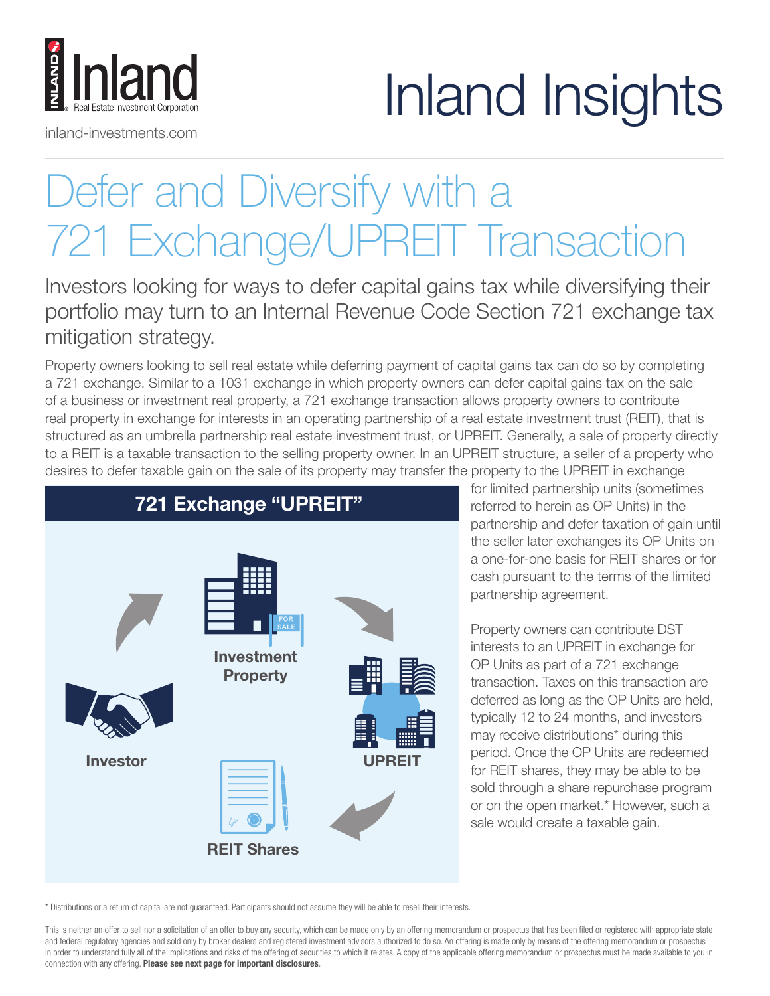## Inland Insights

## Defer and Diversify with a 721 Exchange/UPREIT Transaction

Investors looking for ways to defer capital gains tax while diversifying their portfolio may turn to an Internal Revenue Code Section 721 exchange tax mitigation strategy.

Property owners looking to sell real estate while deferring payment of capital gains tax can do so by completing a 721 exchange. Similar to a 1031 exchange in which property owners can defer capital gains tax on the sale of a business or investment real property, a 721 exchange transaction allows property owners to contribute real property in exchange for interests in an operating partnership of a real estate investment trust (REIT), that is structured as an umbrella partnership real estate investment trust, or UPREIT. Generally, a sale of property directly to a REIT is a taxable transaction to the selling property owner. In an UPREIT structure, a seller of a property who desires to defer taxable gain on the sale of its property may transfer the property to the UPREIT in exchange



inland-investments.com

lland

for limited partnership units (sometimes referred to herein as OP Units) in the partnership and defer taxation of gain until the seller later exchanges its OP Units on a one-for-one basis for REIT shares or for cash pursuant to the terms of the limited partnership agreement.

Property owners can contribute DST interests to an UPREIT in exchange for OP Units as part of a 721 exchange transaction. Taxes on this transaction are deferred as long as the OP Units are held, typically 12 to 24 months, and investors may receive distributions\* during this period. Once the OP Units are redeemed for REIT shares, they may be able to be sold through a share repurchase program or on the open market.\* However, such a sale would create a taxable gain.

\* Distributions or a return of capital are not guaranteed. Participants should not assume they will be able to resell their interests.

This is neither an offer to sell nor a solicitation of an offer to buy any security, which can be made only by an offering memorandum or prospectus that has been filed or registered with appropriate state and federal regulatory agencies and sold only by broker dealers and registered investment advisors authorized to do so. An offering is made only by means of the offering memorandum or prospectus in order to understand fully all of the implications and risks of the offering of securities to which it relates. A copy of the applicable offering memorandum or prospectus must be made available to you in connection with any offering. Please see next page for important disclosures.